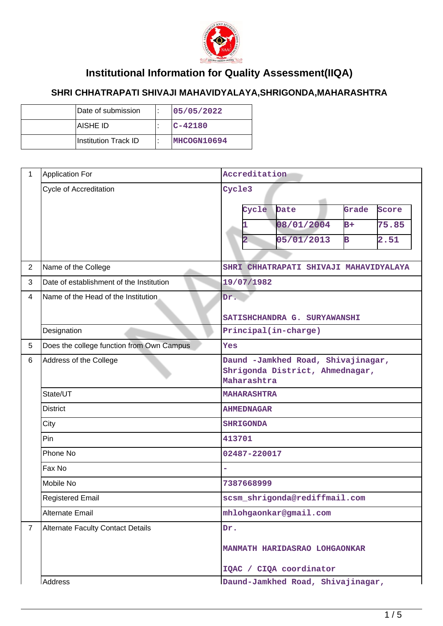

## **Institutional Information for Quality Assessment(IIQA)**

## **SHRI CHHATRAPATI SHIVAJI MAHAVIDYALAYA,SHRIGONDA,MAHARASHTRA**

| Date of submission   | 05/05/2022   |
|----------------------|--------------|
| IAISHE ID            | $ C - 42180$ |
| Institution Track ID | MHCOGN10694  |

| $\mathbf{1}$   | <b>Application For</b>                               | Accreditation                                                                                                                                                |  |  |  |
|----------------|------------------------------------------------------|--------------------------------------------------------------------------------------------------------------------------------------------------------------|--|--|--|
| $\overline{2}$ | <b>Cycle of Accreditation</b><br>Name of the College | Cycle3<br>Grade<br>Cycle<br>Date<br>Score<br>08/01/2004<br>$B+$<br>75.85<br>05/01/2013<br>$\mathbf B$<br>2.51<br>2<br>SHRI CHHATRAPATI SHIVAJI MAHAVIDYALAYA |  |  |  |
| 3              | Date of establishment of the Institution             | 19/07/1982                                                                                                                                                   |  |  |  |
| 4              | Name of the Head of the Institution                  | Dr.<br>SATISHCHANDRA G. SURYAWANSHI                                                                                                                          |  |  |  |
|                | Designation                                          | Principal(in-charge)                                                                                                                                         |  |  |  |
| 5              | Does the college function from Own Campus            | Yes                                                                                                                                                          |  |  |  |
| 6              | Address of the College                               | Daund -Jamkhed Road, Shivajinagar,<br>Shrigonda District, Ahmednagar,<br>Maharashtra                                                                         |  |  |  |
|                | State/UT                                             | <b>MAHARASHTRA</b>                                                                                                                                           |  |  |  |
|                | <b>District</b>                                      | <b>AHMEDNAGAR</b>                                                                                                                                            |  |  |  |
|                | City                                                 | <b>SHRIGONDA</b>                                                                                                                                             |  |  |  |
|                | Pin                                                  | 413701                                                                                                                                                       |  |  |  |
|                | Phone No                                             | 02487-220017                                                                                                                                                 |  |  |  |
|                | Fax No                                               |                                                                                                                                                              |  |  |  |
|                | Mobile No                                            | 7387668999                                                                                                                                                   |  |  |  |
|                | <b>Registered Email</b>                              | scsm_shrigonda@rediffmail.com                                                                                                                                |  |  |  |
|                | <b>Alternate Email</b>                               | mhlohgaonkar@gmail.com                                                                                                                                       |  |  |  |
| $\overline{7}$ | <b>Alternate Faculty Contact Details</b>             | Dr.<br>MANMATH HARIDASRAO LOHGAONKAR<br>IQAC / CIQA coordinator                                                                                              |  |  |  |
|                | Address<br>Daund-Jamkhed Road, Shivajinagar,         |                                                                                                                                                              |  |  |  |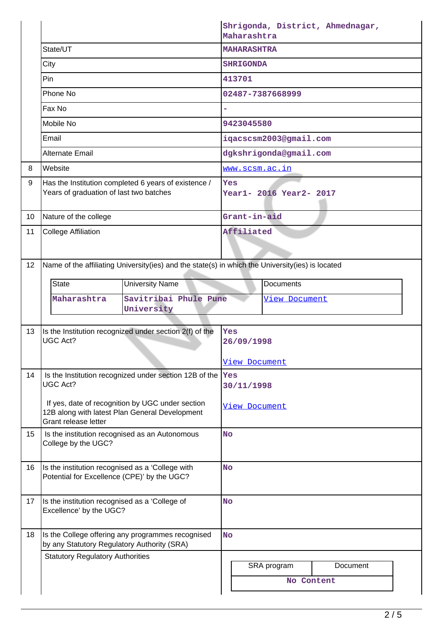|                 |                                                                                                  | Shrigonda, District, Ahmednagar,<br>Maharashtra |                         |          |  |  |  |  |
|-----------------|--------------------------------------------------------------------------------------------------|-------------------------------------------------|-------------------------|----------|--|--|--|--|
|                 | State/UT                                                                                         |                                                 | <b>MAHARASHTRA</b>      |          |  |  |  |  |
|                 | City                                                                                             |                                                 | <b>SHRIGONDA</b>        |          |  |  |  |  |
|                 | Pin                                                                                              |                                                 | 413701                  |          |  |  |  |  |
|                 | Phone No                                                                                         | 02487-7387668999                                |                         |          |  |  |  |  |
|                 | Fax No                                                                                           |                                                 |                         |          |  |  |  |  |
|                 | Mobile No                                                                                        | 9423045580                                      |                         |          |  |  |  |  |
|                 | Email                                                                                            |                                                 | iqacscsm2003@gmail.com  |          |  |  |  |  |
|                 | <b>Alternate Email</b>                                                                           | dgkshrigonda@gmail.com                          |                         |          |  |  |  |  |
| 8               | Website                                                                                          |                                                 | <u>www.scsm.ac.in</u>   |          |  |  |  |  |
| 9               | Has the Institution completed 6 years of existence /<br>Years of graduation of last two batches  | <b>Yes</b>                                      | Year1- 2016 Year2- 2017 |          |  |  |  |  |
| 10 <sup>°</sup> | Nature of the college                                                                            | Grant-in-aid                                    |                         |          |  |  |  |  |
| 11              | <b>College Affiliation</b>                                                                       | Affiliated                                      |                         |          |  |  |  |  |
|                 |                                                                                                  |                                                 |                         |          |  |  |  |  |
| 12 <sup>°</sup> | Name of the affiliating University(ies) and the state(s) in which the University(ies) is located |                                                 |                         |          |  |  |  |  |
|                 | State<br><b>University Name</b>                                                                  | <b>Documents</b>                                |                         |          |  |  |  |  |
|                 | Savitribai Phule Pune<br>Maharashtra                                                             |                                                 | <u>View Document</u>    |          |  |  |  |  |
|                 | University                                                                                       |                                                 |                         |          |  |  |  |  |
| 13              | Is the Institution recognized under section 2(f) of the                                          | Yes                                             |                         |          |  |  |  |  |
|                 | <b>UGC Act?</b>                                                                                  | 26/09/1998                                      |                         |          |  |  |  |  |
|                 |                                                                                                  | <u>View Document</u>                            |                         |          |  |  |  |  |
| 14              | Is the Institution recognized under section 12B of the $\sqrt{\ }$ es                            |                                                 |                         |          |  |  |  |  |
|                 | UGC Act?                                                                                         | 30/11/1998                                      |                         |          |  |  |  |  |
|                 | If yes, date of recognition by UGC under section                                                 | View Document                                   |                         |          |  |  |  |  |
|                 | 12B along with latest Plan General Development<br>Grant release letter                           |                                                 |                         |          |  |  |  |  |
| 15              | Is the institution recognised as an Autonomous                                                   |                                                 | <b>No</b>               |          |  |  |  |  |
|                 | College by the UGC?                                                                              |                                                 |                         |          |  |  |  |  |
| 16              | Is the institution recognised as a 'College with                                                 | <b>No</b>                                       |                         |          |  |  |  |  |
|                 | Potential for Excellence (CPE)' by the UGC?                                                      |                                                 |                         |          |  |  |  |  |
| 17              | Is the institution recognised as a 'College of                                                   | <b>No</b>                                       |                         |          |  |  |  |  |
|                 | Excellence' by the UGC?                                                                          |                                                 |                         |          |  |  |  |  |
|                 |                                                                                                  |                                                 |                         |          |  |  |  |  |
| 18              | Is the College offering any programmes recognised<br>by any Statutory Regulatory Authority (SRA) | <b>No</b>                                       |                         |          |  |  |  |  |
|                 | <b>Statutory Regulatory Authorities</b>                                                          |                                                 |                         |          |  |  |  |  |
|                 |                                                                                                  |                                                 | SRA program             | Document |  |  |  |  |
|                 |                                                                                                  |                                                 | No Content              |          |  |  |  |  |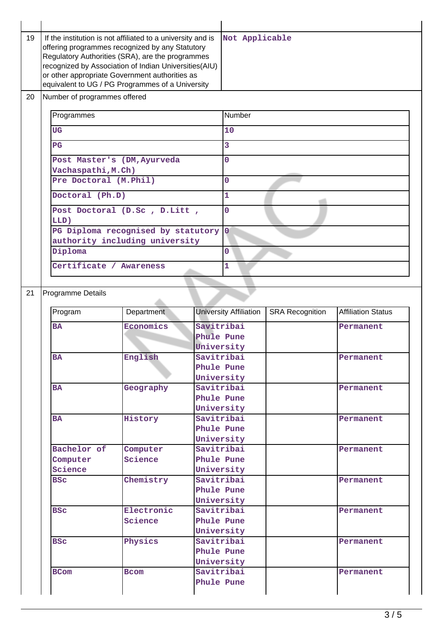| 19 | If the institution is not affiliated to a university and is<br>offering programmes recognized by any Statutory<br>Regulatory Authorities (SRA), are the programmes<br>recognized by Association of Indian Universities(AIU)<br>or other appropriate Government authorities as<br>equivalent to UG / PG Programmes of a University |                                    |                          | Not Applicable                |                        |                           |  |  |  |  |
|----|-----------------------------------------------------------------------------------------------------------------------------------------------------------------------------------------------------------------------------------------------------------------------------------------------------------------------------------|------------------------------------|--------------------------|-------------------------------|------------------------|---------------------------|--|--|--|--|
| 20 | Number of programmes offered                                                                                                                                                                                                                                                                                                      |                                    |                          |                               |                        |                           |  |  |  |  |
|    | Programmes                                                                                                                                                                                                                                                                                                                        |                                    |                          | Number                        |                        |                           |  |  |  |  |
|    | <b>UG</b>                                                                                                                                                                                                                                                                                                                         |                                    |                          | 10                            |                        |                           |  |  |  |  |
|    | PG                                                                                                                                                                                                                                                                                                                                |                                    |                          | 3                             |                        |                           |  |  |  |  |
|    |                                                                                                                                                                                                                                                                                                                                   | Post Master's (DM, Ayurveda        |                          | $\overline{0}$                |                        |                           |  |  |  |  |
|    | Vachaspathi, M.Ch)                                                                                                                                                                                                                                                                                                                |                                    |                          |                               |                        |                           |  |  |  |  |
|    | Pre Doctoral (M.Phil)                                                                                                                                                                                                                                                                                                             |                                    |                          | $\overline{0}$                |                        |                           |  |  |  |  |
|    | Doctoral (Ph.D)                                                                                                                                                                                                                                                                                                                   |                                    |                          | $\mathbf{1}$                  |                        |                           |  |  |  |  |
|    |                                                                                                                                                                                                                                                                                                                                   | Post Doctoral (D.Sc, D.Litt,       |                          | $\mathbf 0$                   |                        |                           |  |  |  |  |
|    | LLD)                                                                                                                                                                                                                                                                                                                              |                                    |                          |                               |                        |                           |  |  |  |  |
|    |                                                                                                                                                                                                                                                                                                                                   | PG Diploma recognised by statutory |                          | 0                             |                        |                           |  |  |  |  |
|    |                                                                                                                                                                                                                                                                                                                                   | authority including university     |                          |                               |                        |                           |  |  |  |  |
|    | Diploma                                                                                                                                                                                                                                                                                                                           |                                    |                          | $\Omega$                      |                        |                           |  |  |  |  |
|    | Certificate / Awareness                                                                                                                                                                                                                                                                                                           |                                    |                          | 1                             |                        |                           |  |  |  |  |
|    |                                                                                                                                                                                                                                                                                                                                   |                                    |                          |                               |                        |                           |  |  |  |  |
| 21 | Programme Details                                                                                                                                                                                                                                                                                                                 |                                    |                          |                               |                        |                           |  |  |  |  |
|    |                                                                                                                                                                                                                                                                                                                                   | Department                         |                          | <b>University Affiliation</b> |                        | <b>Affiliation Status</b> |  |  |  |  |
|    | Program                                                                                                                                                                                                                                                                                                                           |                                    |                          |                               | <b>SRA Recognition</b> |                           |  |  |  |  |
|    | <b>BA</b>                                                                                                                                                                                                                                                                                                                         | Economics                          | Savitribai               |                               |                        | Permanent                 |  |  |  |  |
|    |                                                                                                                                                                                                                                                                                                                                   |                                    | Phule Pune<br>University |                               |                        |                           |  |  |  |  |
|    | BA                                                                                                                                                                                                                                                                                                                                | English                            | Savitribai               |                               |                        | Permanent                 |  |  |  |  |
|    |                                                                                                                                                                                                                                                                                                                                   |                                    | Phule Pune               |                               |                        |                           |  |  |  |  |
|    |                                                                                                                                                                                                                                                                                                                                   |                                    | University               |                               |                        |                           |  |  |  |  |
|    | <b>BA</b>                                                                                                                                                                                                                                                                                                                         | Geography                          | Savitribai               |                               |                        | Permanent                 |  |  |  |  |
|    |                                                                                                                                                                                                                                                                                                                                   |                                    | Phule Pune<br>University |                               |                        |                           |  |  |  |  |
|    | <b>BA</b>                                                                                                                                                                                                                                                                                                                         | History                            | Savitribai               |                               |                        | Permanent                 |  |  |  |  |
|    |                                                                                                                                                                                                                                                                                                                                   |                                    | Phule Pune               |                               |                        |                           |  |  |  |  |
|    |                                                                                                                                                                                                                                                                                                                                   |                                    | University               |                               |                        |                           |  |  |  |  |
|    | Bachelor of                                                                                                                                                                                                                                                                                                                       | Computer                           | Savitribai               |                               |                        | Permanent                 |  |  |  |  |
|    | Computer<br>Science                                                                                                                                                                                                                                                                                                               | Science                            | Phule Pune<br>University |                               |                        |                           |  |  |  |  |
|    | <b>BSC</b>                                                                                                                                                                                                                                                                                                                        | Chemistry                          | Savitribai               |                               |                        | Permanent                 |  |  |  |  |
|    |                                                                                                                                                                                                                                                                                                                                   |                                    | Phule Pune               |                               |                        |                           |  |  |  |  |
|    |                                                                                                                                                                                                                                                                                                                                   |                                    | University               |                               |                        |                           |  |  |  |  |
|    | <b>BSC</b>                                                                                                                                                                                                                                                                                                                        | Electronic                         | Savitribai               |                               |                        | Permanent                 |  |  |  |  |
|    |                                                                                                                                                                                                                                                                                                                                   | Science                            |                          | Phule Pune                    |                        |                           |  |  |  |  |
|    | <b>BSC</b>                                                                                                                                                                                                                                                                                                                        | Physics                            | University<br>Savitribai |                               |                        | Permanent                 |  |  |  |  |
|    |                                                                                                                                                                                                                                                                                                                                   |                                    | Phule Pune               |                               |                        |                           |  |  |  |  |
|    |                                                                                                                                                                                                                                                                                                                                   |                                    | University               |                               |                        |                           |  |  |  |  |
|    | <b>BCom</b>                                                                                                                                                                                                                                                                                                                       | <b>Bcom</b>                        | Savitribai               |                               |                        | Permanent                 |  |  |  |  |
|    |                                                                                                                                                                                                                                                                                                                                   |                                    | Phule Pune               |                               |                        |                           |  |  |  |  |
|    |                                                                                                                                                                                                                                                                                                                                   |                                    |                          |                               |                        |                           |  |  |  |  |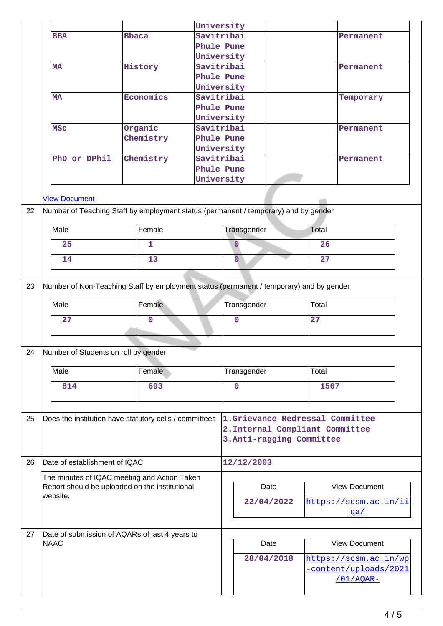|    |                                      |                                                                                         | University |                                                                    |                |      |                      |                       |  |
|----|--------------------------------------|-----------------------------------------------------------------------------------------|------------|--------------------------------------------------------------------|----------------|------|----------------------|-----------------------|--|
|    | <b>BBA</b>                           | <b>Bbaca</b>                                                                            | Savitribai |                                                                    |                |      |                      | Permanent             |  |
|    |                                      |                                                                                         |            |                                                                    | Phule Pune     |      |                      |                       |  |
|    |                                      |                                                                                         | University |                                                                    |                |      |                      |                       |  |
|    | <b>MA</b>                            | History                                                                                 |            | Savitribai                                                         |                |      |                      | Permanent             |  |
|    |                                      |                                                                                         | Phule Pune |                                                                    |                |      |                      |                       |  |
|    |                                      |                                                                                         | University |                                                                    |                |      |                      |                       |  |
|    | <b>MA</b>                            | Economics                                                                               | Savitribai |                                                                    |                |      |                      | Temporary             |  |
|    |                                      |                                                                                         | Phule Pune |                                                                    |                |      |                      |                       |  |
|    |                                      |                                                                                         |            | University                                                         |                |      |                      |                       |  |
|    | <b>MSC</b>                           | Organic                                                                                 | Savitribai |                                                                    |                |      |                      | Permanent             |  |
|    |                                      | Chemistry                                                                               | Phule Pune |                                                                    |                |      |                      |                       |  |
|    |                                      |                                                                                         | University |                                                                    |                |      |                      |                       |  |
|    | PhD or DPhil                         | Chemistry                                                                               | Savitribai |                                                                    |                |      |                      | Permanent             |  |
|    |                                      |                                                                                         | Phule Pune |                                                                    |                |      |                      |                       |  |
|    |                                      |                                                                                         | University |                                                                    |                |      |                      |                       |  |
|    | <b>View Document</b>                 |                                                                                         |            |                                                                    |                |      |                      |                       |  |
| 22 |                                      |                                                                                         |            |                                                                    |                |      |                      |                       |  |
|    |                                      | Number of Teaching Staff by employment status (permanent / temporary) and by gender     |            |                                                                    |                |      |                      |                       |  |
|    | Male                                 | Female                                                                                  |            |                                                                    | Transgender    |      | Total                |                       |  |
|    |                                      |                                                                                         |            |                                                                    |                |      |                      |                       |  |
|    | 25                                   | $\mathbf{1}$                                                                            |            |                                                                    | $\overline{0}$ |      | 26                   |                       |  |
|    | 14                                   | 13                                                                                      |            |                                                                    | $\overline{0}$ |      | 27                   |                       |  |
|    |                                      |                                                                                         |            |                                                                    |                |      |                      |                       |  |
| 23 |                                      | Number of Non-Teaching Staff by employment status (permanent / temporary) and by gender |            |                                                                    |                |      |                      |                       |  |
|    |                                      |                                                                                         |            |                                                                    |                |      |                      |                       |  |
|    | Male                                 | Female                                                                                  |            |                                                                    | Transgender    |      | Total                |                       |  |
|    | 27                                   |                                                                                         |            | $\mathbf 0$                                                        |                | 27   |                      |                       |  |
|    |                                      | $\mathbf 0$                                                                             |            |                                                                    |                |      |                      |                       |  |
|    |                                      |                                                                                         |            |                                                                    |                |      |                      |                       |  |
| 24 | Number of Students on roll by gender |                                                                                         |            |                                                                    |                |      |                      |                       |  |
|    |                                      |                                                                                         |            |                                                                    |                |      |                      |                       |  |
|    | Male                                 | Female                                                                                  |            |                                                                    | Transgender    |      | Total                |                       |  |
|    | 814                                  | 693                                                                                     |            |                                                                    |                |      |                      |                       |  |
|    |                                      |                                                                                         |            | $\mathbf 0$                                                        |                | 1507 |                      |                       |  |
|    |                                      |                                                                                         |            |                                                                    |                |      |                      |                       |  |
| 25 |                                      | Does the institution have statutory cells / committees                                  |            |                                                                    |                |      |                      |                       |  |
|    |                                      |                                                                                         |            | 1.Grievance Redressal Committee<br>2. Internal Compliant Committee |                |      |                      |                       |  |
|    |                                      |                                                                                         |            | 3. Anti-ragging Committee                                          |                |      |                      |                       |  |
|    |                                      |                                                                                         |            |                                                                    |                |      |                      |                       |  |
| 26 | Date of establishment of IQAC        |                                                                                         |            |                                                                    |                |      |                      |                       |  |
|    |                                      |                                                                                         |            |                                                                    | 12/12/2003     |      |                      |                       |  |
|    |                                      | The minutes of IQAC meeting and Action Taken                                            |            |                                                                    |                |      |                      |                       |  |
|    |                                      | Report should be uploaded on the institutional                                          |            | Date                                                               |                |      | <b>View Document</b> |                       |  |
|    | website.                             |                                                                                         |            |                                                                    | 22/04/2022     |      |                      | https://scsm.ac.in/ii |  |
|    |                                      |                                                                                         |            |                                                                    |                |      |                      | qa/                   |  |
|    |                                      |                                                                                         |            |                                                                    |                |      |                      |                       |  |
| 27 |                                      | Date of submission of AQARs of last 4 years to                                          |            |                                                                    |                |      |                      |                       |  |
|    | <b>NAAC</b>                          |                                                                                         |            |                                                                    | Date           |      |                      | <b>View Document</b>  |  |
|    |                                      |                                                                                         |            |                                                                    | 28/04/2018     |      |                      | https://scsm.ac.in/wp |  |
|    |                                      |                                                                                         |            |                                                                    |                |      |                      | -content/uploads/2021 |  |
|    |                                      |                                                                                         |            |                                                                    |                |      |                      | /01/AQAR-             |  |
|    |                                      |                                                                                         |            |                                                                    |                |      |                      |                       |  |